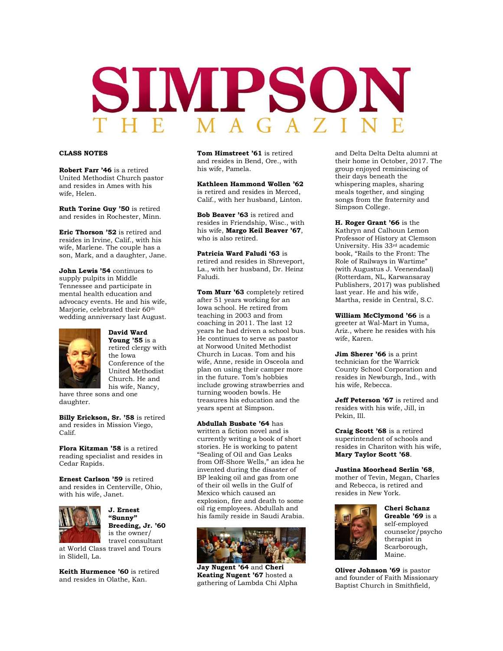# SIMPSON

# **CLASS NOTES**

**Robert Farr '46** is a retired United Methodist Church pastor and resides in Ames with his wife, Helen.

**Ruth Torine Guy '50** is retired and resides in Rochester, Minn.

**Eric Thorson '52** is retired and resides in Irvine, Calif., with his wife, Marlene. The couple has a son, Mark, and a daughter, Jane.

**John Lewis '54** continues to supply pulpits in Middle Tennessee and participate in mental health education and advocacy events. He and his wife, Marjorie, celebrated their 60<sup>th</sup> wedding anniversary last August.



**David Ward Young '55** is a retired clergy with the Iowa Conference of the United Methodist Church. He and his wife, Nancy,

have three sons and one daughter.

**Billy Erickson, Sr. '58** is retired and resides in Mission Viego, Calif.

**Flora Kitzman '58** is a retired reading specialist and resides in Cedar Rapids.

**Ernest Carlson '59** is retired and resides in Centerville, Ohio, with his wife, Janet.



**J. Ernest "Sunny" Breeding, Jr. '60**  is the owner/ travel consultant

at World Class travel and Tours in Slidell, La.

**Keith Hurmence '60** is retired and resides in Olathe, Kan.

**Tom Himstreet '61** is retired and resides in Bend, Ore., with his wife, Pamela.

**Kathleen Hammond Wollen '62**  is retired and resides in Merced, Calif., with her husband, Linton.

**Bob Beaver '63** is retired and resides in Friendship, Wisc., with his wife, **Margo Keil Beaver '67**, who is also retired.

**Patricia Ward Faludi '63** is retired and resides in Shreveport, La., with her husband, Dr. Heinz Faludi.

**Tom Murr '63** completely retired after 51 years working for an Iowa school. He retired from teaching in 2003 and from coaching in 2011. The last 12 years he had driven a school bus. He continues to serve as pastor at Norwood United Methodist Church in Lucas. Tom and his wife, Anne, reside in Osceola and plan on using their camper more in the future. Tom's hobbies include growing strawberries and turning wooden bowls. He treasures his education and the years spent at Simpson.

**Abdullah Busbate '64** has written a fiction novel and is currently writing a book of short stories. He is working to patent "Sealing of Oil and Gas Leaks from Off-Shore Wells," an idea he invented during the disaster of BP leaking oil and gas from one of their oil wells in the Gulf of Mexico which caused an explosion, fire and death to some oil rig employees. Abdullah and his family reside in Saudi Arabia.



**Jay Nugent '64** and **Cheri Keating Nugent '67** hosted a gathering of Lambda Chi Alpha

and Delta Delta Delta alumni at their home in October, 2017. The group enjoyed reminiscing of their days beneath the whispering maples, sharing meals together, and singing songs from the fraternity and Simpson College.

**H. Roger Grant '66** is the Kathryn and Calhoun Lemon Professor of History at Clemson University. His 33rd academic book, "Rails to the Front: The Role of Railways in Wartime" (with Augustus J. Veenendaal) (Rotterdam, NL, Karwansaray Publishers, 2017) was published last year. He and his wife, Martha, reside in Central, S.C.

**William McClymond '66** is a greeter at Wal-Mart in Yuma, Ariz., where he resides with his wife, Karen.

**Jim Sherer '66** is a print technician for the Warrick County School Corporation and resides in Newburgh, Ind., with his wife, Rebecca.

**Jeff Peterson '67** is retired and resides with his wife, Jill, in Pekin, Ill.

**Craig Scott '68** is a retired superintendent of schools and resides in Chariton with his wife, **Mary Taylor Scott '68**.

**Justina Moorhead Serlin '68**, mother of Tevin, Megan, Charles and Rebecca, is retired and resides in New York.



**Cheri Schanz Greable '69** is a self-employed counselor/psycho therapist in Scarborough, Maine.

**Oliver Johnson '69** is pastor and founder of Faith Missionary Baptist Church in Smithfield,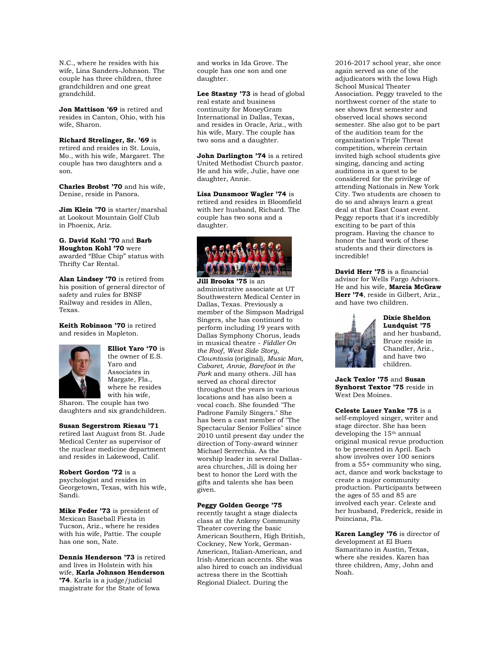N.C., where he resides with his wife, Lina Sanders-Johnson. The couple has three children, three grandchildren and one great grandchild.

**Jon Mattison '69** is retired and resides in Canton, Ohio, with his wife, Sharon.

**Richard Strelinger, Sr. '69** is retired and resides in St. Louis, Mo., with his wife, Margaret. The couple has two daughters and a son.

**Charles Brobst '70** and his wife, Denise, reside in Panora.

**Jim Klein '70** is starter/marshal at Lookout Mountain Golf Club in Phoenix, Ariz.

**G. David Kohl '70** and **Barb Houghton Kohl '70** were awarded "Blue Chip" status with Thrifty Car Rental.

**Alan Lindsey '70** is retired from his position of general director of safety and rules for BNSF Railway and resides in Allen, Texas.

**Keith Robinson '70** is retired and resides in Mapleton.



**Elliot Yaro '70** is the owner of E.S. Yaro and Associates in Margate, Fla., where he resides with his wife,

Sharon. The couple has two daughters and six grandchildren.

**Susan Segerstrom Riesau '71**  retired last August from St. Jude Medical Center as supervisor of the nuclear medicine department and resides in Lakewood, Calif.

**Robert Gordon '72** is a psychologist and resides in Georgetown, Texas, with his wife, Sandi.

**Mike Feder '73** is president of Mexican Baseball Fiesta in Tucson, Ariz., where he resides with his wife, Pattie. The couple has one son, Nate.

**Dennis Henderson '73** is retired and lives in Holstein with his wife, **Karla Johnson Henderson '74**. Karla is a judge/judicial magistrate for the State of Iowa

and works in Ida Grove. The couple has one son and one daughter.

**Lee Stastny '73** is head of global real estate and business continuity for MoneyGram International in Dallas, Texas, and resides in Oracle, Ariz., with his wife, Mary. The couple has two sons and a daughter.

**John Darlington '74** is a retired United Methodist Church pastor. He and his wife, Julie, have one daughter, Annie.

**Lisa Dunsmoor Wagler '74** is retired and resides in Bloomfield with her husband, Richard. The couple has two sons and a daughter.



**Jill Brooks '75** is an administrative associate at UT Southwestern Medical Center in Dallas, Texas. Previously a member of the Simpson Madrigal Singers, she has continued to perform including 19 years with Dallas Symphony Chorus, leads in musical theatre - *Fiddler On the Roof*, *West Side Story*, *Clowntasia* (original), *Music Man*, *Cabaret*, *Annie*, *Barefoot in the Park* and many others. Jill has served as choral director throughout the years in various locations and has also been a vocal coach. She founded "The Padrone Family Singers." She has been a cast member of "The Spectacular Senior Follies" since 2010 until present day under the direction of Tony-award winner Michael Serrechia. As the worship leader in several Dallasarea churches, Jill is doing her best to honor the Lord with the gifts and talents she has been given.

**Peggy Golden George '75** 

recently taught a stage dialects class at the Ankeny Community Theater covering the basic American Southern, High British, Cockney, New York, German-American, Italian-American, and Irish-American accents. She was also hired to coach an individual actress there in the Scottish Regional Dialect. During the

2016-2017 school year, she once again served as one of the adjudicators with the Iowa High School Musical Theater Association. Peggy traveled to the northwest corner of the state to see shows first semester and observed local shows second semester. She also got to be part of the audition team for the organization's Triple Threat competition, wherein certain invited high school students give singing, dancing and acting auditions in a quest to be considered for the privilege of attending Nationals in New York City. Two students are chosen to do so and always learn a great deal at that East Coast event. Peggy reports that it's incredibly exciting to be part of this program. Having the chance to honor the hard work of these students and their directors is incredible!

**David Herr '75** is a financial advisor for Wells Fargo Advisors. He and his wife, **Marcia McGraw Herr '74**, reside in Gilbert, Ariz., and have two children.



**Dixie Sheldon Lundquist '75**  and her husband, Bruce reside in Chandler, Ariz., and have two children.

**Jack Texlor '75** and **Susan Synhorst Textor '75** reside in West Des Moines.

**Celeste Lauer Yanke '75** is a self-employed singer, writer and stage director. She has been developing the 15th annual original musical revue production to be presented in April. Each show involves over 100 seniors from a 55+ community who sing, act, dance and work backstage to create a major community production. Participants between the ages of 55 and 85 are involved each year. Celeste and her husband, Frederick, reside in Poinciana, Fla.

**Karen Langley '76** is director of development at El Buen Samaritano in Austin, Texas, where she resides. Karen has three children, Amy, John and Noah.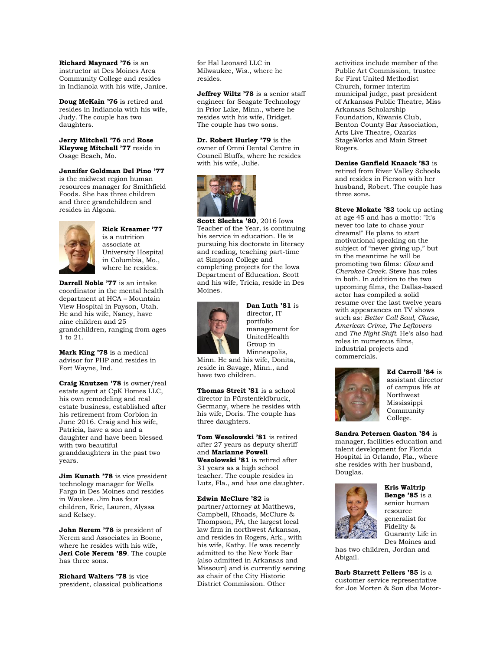**Richard Maynard '76** is an instructor at Des Moines Area Community College and resides in Indianola with his wife, Janice.

**Doug McKain '76** is retired and resides in Indianola with his wife, Judy. The couple has two daughters.

**Jerry Mitchell '76** and **Rose Kleyweg Mitchell '77** reside in Osage Beach, Mo.

**Jennifer Goldman Del Pino '77**  is the midwest region human resources manager for Smithfield Foods. She has three children and three grandchildren and resides in Algona.



**Rick Kreamer '77**  is a nutrition associate at University Hospital in Columbia, Mo., where he resides.

**Darrell Noble '77** is an intake coordinator in the mental health department at HCA – Mountain View Hospital in Payson, Utah. He and his wife, Nancy, have nine children and 25 grandchildren, ranging from ages 1 to 21.

**Mark King '78** is a medical advisor for PHP and resides in Fort Wayne, Ind.

**Craig Knutzen '78** is owner/real estate agent at CpK Homes LLC, his own remodeling and real estate business, established after his retirement from Corbion in June 2016. Craig and his wife, Patricia, have a son and a daughter and have been blessed with two beautiful granddaughters in the past two years.

**Jim Kunath '78** is vice president technology manager for Wells Fargo in Des Moines and resides in Waukee. Jim has four children, Eric, Lauren, Alyssa and Kelsey.

**John Nerem '78** is president of Nerem and Associates in Boone, where he resides with his wife, **Jeri Cole Nerem '89**. The couple has three sons.

**Richard Walters '78** is vice president, classical publications

for Hal Leonard LLC in Milwaukee, Wis., where he resides.

**Jeffrey Wiltz '78** is a senior staff engineer for Seagate Technology in Prior Lake, Minn., where he resides with his wife, Bridget. The couple has two sons.

**Dr. Robert Hurley '79** is the owner of Omni Dental Centre in Council Bluffs, where he resides with his wife, Julie.



**Scott Slechta '80**, 2016 Iowa Teacher of the Year, is continuing his service in education. He is pursuing his doctorate in literacy and reading, teaching part-time at Simpson College and completing projects for the Iowa Department of Education. Scott and his wife, Tricia, reside in Des Moines.



**Dan Luth '81** is director, IT portfolio management for UnitedHealth Group in Minneapolis,

Minn. He and his wife, Donita, reside in Savage, Minn., and have two children.

**Thomas Streit '81** is a school director in Fürstenfeldbruck, Germany, where he resides with his wife, Doris. The couple has three daughters.

**Tom Wesolowski '81** is retired after 27 years as deputy sheriff and **Marianne Powell Wesolowski '81** is retired after 31 years as a high school teacher. The couple resides in Lutz, Fla., and has one daughter.

**Edwin McClure '82** is partner/attorney at Matthews, Campbell, Rhoads, McClure & Thompson, PA, the largest local law firm in northwest Arkansas, and resides in Rogers, Ark., with his wife, Kathy. He was recently admitted to the New York Bar (also admitted in Arkansas and Missouri) and is currently serving as chair of the City Historic District Commission. Other

activities include member of the Public Art Commission, trustee for First United Methodist Church, former interim municipal judge, past president of Arkansas Public Theatre, Miss Arkansas Scholarship Foundation, Kiwanis Club, Benton County Bar Association, Arts Live Theatre, Ozarks StageWorks and Main Street Rogers.

**Denise Ganfield Knaack '83** is retired from River Valley Schools and resides in Pierson with her husband, Robert. The couple has three sons.

**Steve Mokate '83** took up acting at age 45 and has a motto: "It's never too late to chase your dreams!" He plans to start motivational speaking on the subject of "never giving up," but in the meantime he will be promoting two films: *Glow* and *Cherokee Creek.* Steve has roles in both. In addition to the two upcoming films, the Dallas-based actor has compiled a solid resume over the last twelve years with appearances on TV shows such as: *Better Call Saul, Chase, American Crime, The Leftovers*  and *The Night Shift.* He's also had roles in numerous films, industrial projects and commercials.



**Ed Carroll '84** is assistant director of campus life at Northwest Mississippi Community College.

**Sandra Petersen Gaston '84** is manager, facilities education and talent development for Florida Hospital in Orlando, Fla., where she resides with her husband, Douglas.



**Kris Waltrip Benge '85** is a senior human resource generalist for Fidelity & Guaranty Life in Des Moines and

has two children, Jordan and Abigail.

**Barb Starrett Fellers '85** is a customer service representative for Joe Morten & Son dba Motor-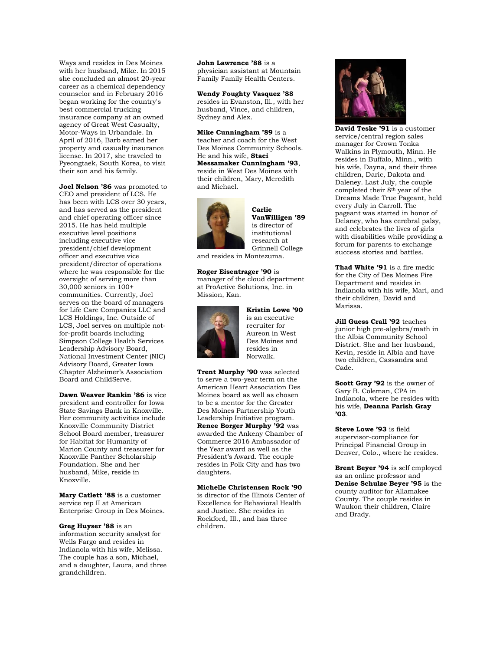Ways and resides in Des Moines with her husband, Mike. In 2015 she concluded an almost 20-year career as a chemical dependency counselor and in February 2016 began working for the country's best commercial trucking insurance company at an owned agency of Great West Casualty, Motor-Ways in Urbandale. In April of 2016, Barb earned her property and casualty insurance license. In 2017, she traveled to Pyeongtaek, South Korea, to visit their son and his family.

**Joel Nelson '86** was promoted to CEO and president of LCS. He has been with LCS over 30 years, and has served as the president and chief operating officer since 2015. He has held multiple executive level positions including executive vice president/chief development officer and executive vice president/director of operations where he was responsible for the oversight of serving more than 30,000 seniors in 100+ communities. Currently, Joel serves on the board of managers for Life Care Companies LLC and LCS Holdings, Inc. Outside of LCS, Joel serves on multiple notfor-profit boards including Simpson College Health Services Leadership Advisory Board, National Investment Center (NIC) Advisory Board, Greater Iowa Chapter Alzheimer's Association Board and ChildServe.

**Dawn Weaver Rankin '86** is vice president and controller for Iowa State Savings Bank in Knoxville. Her community activities include Knoxville Community District School Board member, treasurer for Habitat for Humanity of Marion County and treasurer for Knoxville Panther Scholarship Foundation. She and her husband, Mike, reside in Knoxville.

**Mary Catlett '88** is a customer service rep II at American Enterprise Group in Des Moines.

**Greg Huyser '88** is an information security analyst for Wells Fargo and resides in Indianola with his wife, Melissa. The couple has a son, Michael, and a daughter, Laura, and three grandchildren.

**John Lawrence '88** is a physician assistant at Mountain Family Family Health Centers.

**Wendy Foughty Vasquez '88**  resides in Evanston, Ill., with her husband, Vince, and children, Sydney and Alex.

**Mike Cunningham '89** is a teacher and coach for the West Des Moines Community Schools. He and his wife, **Staci Messamaker Cunningham '93**, reside in West Des Moines with their children, Mary, Meredith



and Michael.

**Carlie VanWilligen '89**  is director of institutional research at Grinnell College

and resides in Montezuma.

**Roger Eisentrager '90** is manager of the cloud department at ProActive Solutions, Inc. in Mission, Kan.



**Kristin Lowe '90**  is an executive recruiter for Aureon in West Des Moines and resides in Norwalk.

**Trent Murphy '90** was selected to serve a two-year term on the American Heart Association Des Moines board as well as chosen to be a mentor for the Greater Des Moines Partnership Youth Leadership Initiative program. **Renee Borger Murphy '92** was awarded the Ankeny Chamber of Commerce 2016 Ambassador of the Year award as well as the President's Award. The couple resides in Polk City and has two daughters.

**Michelle Christensen Rock '90**  is director of the Illinois Center of Excellence for Behavioral Health and Justice. She resides in Rockford, Ill., and has three children.



**David Teske '91** is a customer service/central region sales manager for Crown Tonka Walkins in Plymouth, Minn. He resides in Buffalo, Minn., with his wife, Dayna, and their three children, Daric, Dakota and Daleney. Last July, the couple completed their 8<sup>th</sup> year of the Dreams Made True Pageant, held every July in Carroll. The pageant was started in honor of Delaney, who has cerebral palsy, and celebrates the lives of girls with disabilities while providing a forum for parents to exchange success stories and battles.

**Thad White '91** is a fire medic for the City of Des Moines Fire Department and resides in Indianola with his wife, Mari, and their children, David and Marissa.

**Jill Guess Crall '92** teaches junior high pre-algebra/math in the Albia Community School District. She and her husband, Kevin, reside in Albia and have two children, Cassandra and Cade.

**Scott Gray '92** is the owner of Gary B. Coleman, CPA in Indianola, where he resides with his wife, **Deanna Parish Gray '03**.

**Steve Lowe '93** is field supervisor-compliance for Principal Financial Group in Denver, Colo., where he resides.

**Brent Beyer '94** is self employed as an online professor and **Denise Schulze Beyer '95** is the county auditor for Allamakee County. The couple resides in Waukon their children, Claire and Brady.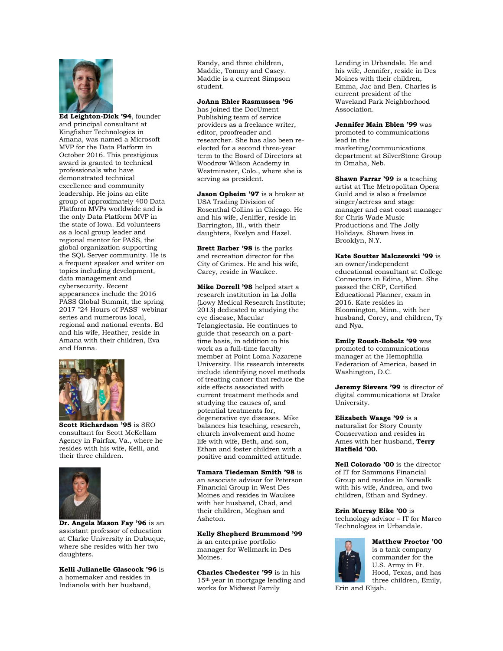

**Ed Leighton-Dick '94**, founder and principal consultant at Kingfisher Technologies in Amana, was named a Microsoft MVP for the Data Platform in October 2016. This prestigious award is granted to technical professionals who have demonstrated technical excellence and community leadership. He joins an elite group of approximately 400 Data Platform MVPs worldwide and is the only Data Platform MVP in the state of Iowa. Ed volunteers as a local group leader and regional mentor for PASS, the global organization supporting the SQL Server community. He is a frequent speaker and writer on topics including development, data management and cybersecurity. Recent appearances include the 2016 PASS Global Summit, the spring 2017 "24 Hours of PASS" webinar series and numerous local, regional and national events. Ed and his wife, Heather, reside in Amana with their children, Eva and Hanna.



**Scott Richardson '95** is SEO consultant for Scott McKellam Agency in Fairfax, Va., where he resides with his wife, Kelli, and their three children.



**Dr. Angela Mason Fay '96** is an assistant professor of education at Clarke University in Dubuque, where she resides with her two daughters.

#### **Kelli Julianelle Glascock '96** is a homemaker and resides in Indianola with her husband,

Randy, and three children, Maddie, Tommy and Casey. Maddie is a current Simpson student.

#### **JoAnn Ehler Rasmussen '96**

has joined the DocUment Publishing team of service providers as a freelance writer, editor, proofreader and researcher. She has also been reelected for a second three-year term to the Board of Directors at Woodrow Wilson Academy in Westminster, Colo., where she is serving as president.

**Jason Opheim '97** is a broker at USA Trading Division of Rosenthal Collins in Chicago. He and his wife, Jeniffer, reside in Barrington, Ill., with their daughters, Evelyn and Hazel.

**Brett Barber '98** is the parks and recreation director for the City of Grimes. He and his wife, Carey, reside in Waukee.

**Mike Dorrell '98** helped start a research institution in La Jolla (Lowy Medical Research Institute; 2013) dedicated to studying the eye disease, Macular Telangiectasia. He continues to guide that research on a parttime basis, in addition to his work as a full-time faculty member at Point Loma Nazarene University. His research interests include identifying novel methods of treating cancer that reduce the side effects associated with current treatment methods and studying the causes of, and potential treatments for, degenerative eye diseases. Mike balances his teaching, research, church involvement and home life with wife, Beth, and son, Ethan and foster children with a positive and committed attitude.

**Tamara Tiedeman Smith '98** is an associate advisor for Peterson Financial Group in West Des Moines and resides in Waukee with her husband, Chad, and their children, Meghan and Asheton.

### **Kelly Shepherd Brummond '99**

is an enterprise portfolio manager for Wellmark in Des Moines.

**Charles Chedester '99** is in his 15th year in mortgage lending and works for Midwest Family

Lending in Urbandale. He and his wife, Jennifer, reside in Des Moines with their children, Emma, Jac and Ben. Charles is current president of the Waveland Park Neighborhood Association.

**Jennifer Main Eblen '99** was promoted to communications lead in the marketing/communications department at SilverStone Group in Omaha, Neb.

**Shawn Farrar '99** is a teaching artist at The Metropolitan Opera Guild and is also a freelance singer/actress and stage manager and east coast manager for Chris Wade Music Productions and The Jolly Holidays. Shawn lives in Brooklyn, N.Y.

## **Kate Soutter Malczewski '99** is

an owner/independent educational consultant at College Connectors in Edina, Minn. She passed the CEP, Certified Educational Planner, exam in 2016. Kate resides in Bloomington, Minn., with her husband, Corey, and children, Ty and Nya.

**Emily Roush-Bobolz '99** was promoted to communications manager at the Hemophilia Federation of America, based in Washington, D.C.

**Jeremy Sievers '99** is director of digital communications at Drake University.

**Elizabeth Waage '99** is a naturalist for Story County Conservation and resides in Ames with her husband, **Terry Hatfield '00.**

**Neil Colorado '00** is the director of IT for Sammons Financial Group and resides in Norwalk with his wife, Andrea, and two children, Ethan and Sydney.

#### **Erin Murray Eike '00** is

technology advisor – IT for Marco Technologies in Urbandale.



**Matthew Proctor '00**  is a tank company commander for the U.S. Army in Ft. Hood, Texas, and has three children, Emily,

Erin and Elijah.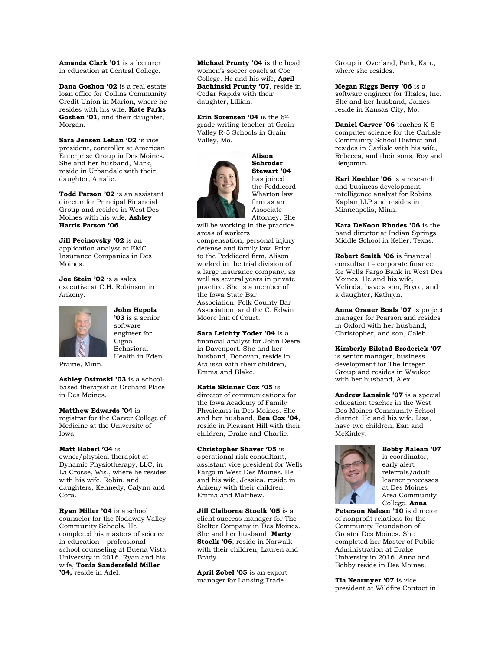**Amanda Clark '01** is a lecturer in education at Central College.

**Dana Goshon '02** is a real estate loan office for Collins Community Credit Union in Marion, where he resides with his wife, **Kate Parks Goshen '01**, and their daughter, Morgan.

**Sara Jensen Lehan '02** is vice president, controller at American Enterprise Group in Des Moines. She and her husband, Mark, reside in Urbandale with their daughter, Amalie.

**Todd Parson '02** is an assistant director for Principal Financial Group and resides in West Des Moines with his wife, **Ashley Harris Parson '06**.

**Jill Pecinovsky '02** is an application analyst at EMC Insurance Companies in Des Moines.

**Joe Stein '02** is a sales executive at C.H. Robinson in Ankeny.



**John Hepola '03** is a senior software engineer for Cigna Behavioral Health in Eden

Prairie, Minn.

**Ashley Ostroski '03** is a schoolbased therapist at Orchard Place in Des Moines.

**Matthew Edwards '04** is

registrar for the Carver College of Medicine at the University of Iowa.

#### **Matt Haberl '04** is

owner/physical therapist at Dynamic Physiotherapy, LLC, in La Crosse, Wis., where he resides with his wife, Robin, and daughters, Kennedy, Calynn and Cora.

**Ryan Miller '04** is a school counselor for the Nodaway Valley Community Schools. He completed his masters of science in education – professional school counseling at Buena Vista University in 2016. Ryan and his wife, **Tonia Sandersfeld Miller '04,** reside in Adel.

**Michael Prunty '04** is the head women's soccer coach at Coe College. He and his wife, **April Bachinski Prunty '07**, reside in Cedar Rapids with their daughter, Lillian.

**Erin Sorensen '04** is the 6<sup>th</sup> grade writing teacher at Grain Valley R-5 Schools in Grain Valley, Mo.



**Alison Schroder Stewart '04**  has joined the Peddicord Wharton law firm as an Associate Attorney. She

will be working in the practice areas of workers' compensation, personal injury

defense and family law. Prior to the Peddicord firm, Alison worked in the trial division of a large insurance company, as well as several years in private practice. She is a member of the Iowa State Bar Association, Polk County Bar Association, and the C. Edwin Moore Inn of Court.

**Sara Leichty Yoder '04** is a financial analyst for John Deere in Davenport. She and her husband, Donovan, reside in Atalissa with their children, Emma and Blake.

**Katie Skinner Cox '05** is director of communications for the Iowa Academy of Family Physicians in Des Moines. She and her husband, **Ben Cox '04**, reside in Pleasant Hill with their children, Drake and Charlie.

**Christopher Shaver '05** is operational risk consultant, assistant vice president for Wells Fargo in West Des Moines. He and his wife, Jessica, reside in Ankeny with their children, Emma and Matthew.

**Jill Claiborne Stoelk '05** is a client success manager for The Stelter Company in Des Moines. She and her husband, **Marty Stoelk '06**, reside in Norwalk with their children, Lauren and Brady.

**April Zobel '05** is an export manager for Lansing Trade

Group in Overland, Park, Kan., where she resides.

**Megan Riggs Berry '06** is a software engineer for Thales, Inc. She and her husband, James, reside in Kansas City, Mo.

**Daniel Carver '06** teaches K-5 computer science for the Carlisle Community School District and resides in Carlisle with his wife, Rebecca, and their sons, Roy and Benjamin.

**Kari Koehler '06** is a research and business development intelligence analyst for Robins Kaplan LLP and resides in Minneapolis, Minn.

**Kara DeNoon Rhodes '06** is the band director at Indian Springs Middle School in Keller, Texas.

**Robert Smith '06** is financial consultant – corporate finance for Wells Fargo Bank in West Des Moines. He and his wife, Melinda, have a son, Bryce, and a daughter, Kathryn.

**Anna Grauer Boals '07** is project manager for Pearson and resides in Oxford with her husband, Christopher, and son, Caleb.

**Kimberly Bilstad Broderick '07**  is senior manager, business development for The Integer Group and resides in Waukee with her husband, Alex.

**Andrew Lansink '07** is a special education teacher in the West Des Moines Community School district. He and his wife, Lisa, have two children, Ean and McKinley.



**Bobby Nalean '07**  is coordinator, early alert referrals/adult learner processes at Des Moines Area Community College. **Anna** 

**Peterson Nalean '10** is director of nonprofit relations for the Community Foundation of Greater Des Moines. She completed her Master of Public Administration at Drake University in 2016. Anna and Bobby reside in Des Moines.

**Tia Nearmyer '07** is vice president at Wildfire Contact in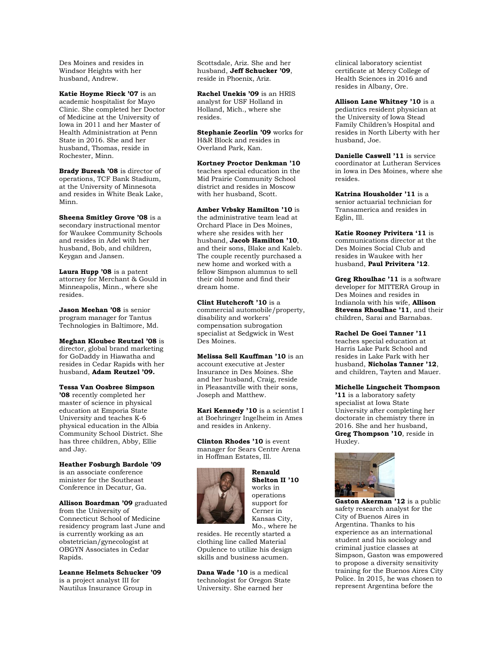Des Moines and resides in Windsor Heights with her husband, Andrew.

**Katie Hoyme Rieck '07** is an academic hospitalist for Mayo Clinic. She completed her Doctor of Medicine at the University of Iowa in 2011 and her Master of Health Administration at Penn State in 2016. She and her husband, Thomas, reside in Rochester, Minn.

**Brady Buresh '08** is director of operations, TCF Bank Stadium, at the University of Minnesota and resides in White Beak Lake, Minn.

**Sheena Smitley Grove '08** is a secondary instructional mentor for Waukee Community Schools and resides in Adel with her husband, Bob, and children, Keygan and Jansen.

**Laura Hupp '08** is a patent attorney for Merchant & Gould in Minneapolis, Minn., where she resides.

**Jason Meehan '08** is senior program manager for Tantus Technologies in Baltimore, Md.

**Meghan Kloubec Reutzel '08** is director, global brand marketing for GoDaddy in Hiawatha and resides in Cedar Rapids with her husband, **Adam Reutzel '09.**

**Tessa Van Oosbree Simpson '08** recently completed her master of science in physical education at Emporia State University and teaches K-6 physical education in the Albia Community School District. She has three children, Abby, Ellie and Jay.

**Heather Fosburgh Bardole '09**  is an associate conference minister for the Southeast Conference in Decatur, Ga.

**Allison Boardman '09** graduated from the University of

Connecticut School of Medicine residency program last June and is currently working as an obstetrician/gynecologist at OBGYN Associates in Cedar Rapids.

**Leanne Helmets Schucker '09**  is a project analyst III for Nautilus Insurance Group in

Scottsdale, Ariz. She and her husband, **Jeff Schucker '09**, reside in Phoenix, Ariz.

**Rachel Unekis '09** is an HRIS analyst for USF Holland in Holland, Mich., where she resides.

**Stephanie Zeorlin '09** works for H&R Block and resides in Overland Park, Kan.

**Kortney Proctor Denkman '10**  teaches special education in the Mid Prairie Community School district and resides in Moscow with her husband, Scott.

**Amber Vrbsky Hamilton '10** is the administrative team lead at Orchard Place in Des Moines, where she resides with her husband, **Jacob Hamilton '10**, and their sons, Blake and Kaleb. The couple recently purchased a new home and worked with a fellow Simpson alumnus to sell their old home and find their dream home.

**Clint Hutchcroft '10** is a commercial automobile/property, disability and workers' compensation subrogation specialist at Sedgwick in West Des Moines.

**Melissa Sell Kauffman '10** is an account executive at Jester Insurance in Des Moines. She and her husband, Craig, reside in Pleasantville with their sons, Joseph and Matthew.

**Kari Kennedy '10** is a scientist I at Boehringer Ingelheim in Ames and resides in Ankeny.

**Clinton Rhodes '10** is event manager for Sears Centre Arena in Hoffman Estates, Ill.



**Renauld Shelton II '10**  works in operations support for Cerner in Kansas City, Mo., where he

resides. He recently started a clothing line called Material Opulence to utilize his design skills and business acumen.

**Dana Wade '10** is a medical technologist for Oregon State University. She earned her

clinical laboratory scientist certificate at Mercy College of Health Sciences in 2016 and resides in Albany, Ore.

**Allison Lane Whitney '10** is a pediatrics resident physician at the University of Iowa Stead Family Children's Hospital and resides in North Liberty with her husband, Joe.

**Danielle Caswell '11** is service coordinator at Lutheran Services in Iowa in Des Moines, where she resides.

**Katrina Housholder '11** is a senior actuarial technician for Transamerica and resides in Eglin, Ill.

**Katie Rooney Privitera '11** is communications director at the Des Moines Social Club and resides in Waukee with her husband, **Paul Privitera '12**.

**Greg Rhoulhac '11** is a software developer for MITTERA Group in Des Moines and resides in Indianola with his wife, **Allison Stevens Rhoulhac '11**, and their children, Sarai and Barnabas.

**Rachel De Goei Tanner '11**  teaches special education at Harris Lake Park School and resides in Lake Park with her husband, **Nicholas Tanner '12**, and children, Tayten and Mauer.

#### **Michelle Lingscheit Thompson**

**'11** is a laboratory safety specialist at Iowa State University after completing her doctorate in chemistry there in 2016. She and her husband, **Greg Thompson '10**, reside in Huxley.



**Gaston Akerman '12** is a public safety research analyst for the City of Buenos Aires in Argentina. Thanks to his experience as an international student and his sociology and criminal justice classes at Simpson, Gaston was empowered to propose a diversity sensitivity training for the Buenos Aires City Police. In 2015, he was chosen to represent Argentina before the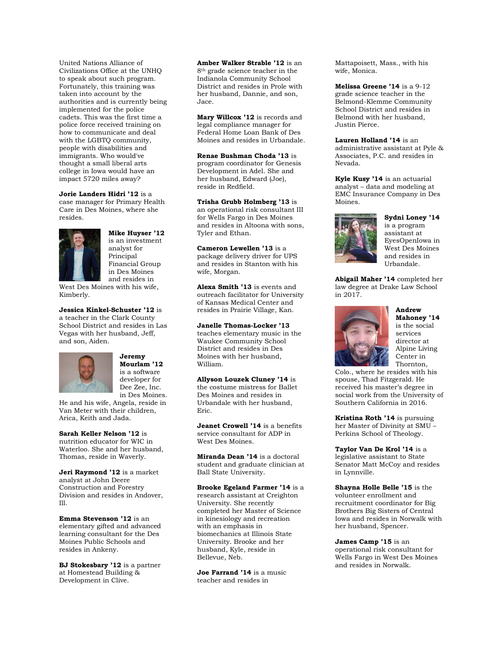United Nations Alliance of Civilizations Office at the UNHQ to speak about such program. Fortunately, this training was taken into account by the authorities and is currently being implemented for the police cadets. This was the first time a police force received training on how to communicate and deal with the LGBTQ community, people with disabilities and immigrants. Who would've thought a small liberal arts college in Iowa would have an impact 5720 miles away?

**Jorie Landers Hidri '12** is a case manager for Primary Health Care in Des Moines, where she resides.



# **Mike Huyser '12**

is an investment analyst for Principal Financial Group in Des Moines and resides in

West Des Moines with his wife, Kimberly.

**Jessica Kinkel-Schuster '12** is a teacher in the Clark County School District and resides in Las Vegas with her husband, Jeff, and son, Aiden.



#### **Jeremy Mourlam '12**  is a software

developer for Dee Zee, Inc. in Des Moines.

He and his wife, Angela, reside in Van Meter with their children, Arica, Keith and Jada.

**Sarah Keller Nelson '12** is nutrition educator for WIC in Waterloo. She and her husband, Thomas, reside in Waverly.

**Jeri Raymond '12** is a market analyst at John Deere Construction and Forestry Division and resides in Andover, Ill.

**Emma Stevenson '12** is an elementary gifted and advanced learning consultant for the Des Moines Public Schools and resides in Ankeny.

**BJ Stokesbary '12** is a partner at Homestead Building & Development in Clive.

**Amber Walker Strable '12** is an 8th grade science teacher in the Indianola Community School District and resides in Prole with her husband, Dannie, and son, Jace.

**Mary Willcox '12** is records and legal compliance manager for Federal Home Loan Bank of Des Moines and resides in Urbandale.

**Renae Bushman Choda '13** is program coordinator for Genesis Development in Adel. She and her husband, Edward (Joe), reside in Redfield.

**Trisha Grubb Holmberg '13** is an operational risk consultant III for Wells Fargo in Des Moines and resides in Altoona with sons, Tyler and Ethan.

**Cameron Lewellen '13** is a package delivery driver for UPS and resides in Stanton with his wife, Morgan.

**Alexa Smith '13** is events and outreach facilitator for University of Kansas Medical Center and resides in Prairie Village, Kan.

**Janelle Thomas-Locker '13**  teaches elementary music in the Waukee Community School District and resides in Des Moines with her husband, William.

**Allyson Louzek Cluney '14** is the costume mistress for Ballet Des Moines and resides in Urbandale with her husband, Eric.

**Jeanet Crowell '14** is a benefits service consultant for ADP in West Des Moines.

**Miranda Dean '14** is a doctoral student and graduate clinician at Ball State University.

**Brooke Egeland Farmer '14** is a

research assistant at Creighton University. She recently completed her Master of Science in kinesiology and recreation with an emphasis in biomechanics at Illinois State University. Brooke and her husband, Kyle, reside in Bellevue, Neb.

**Joe Farrand '14** is a music teacher and resides in

Mattapoisett, Mass., with his wife, Monica.

**Melissa Greene '14** is a 9-12 grade science teacher in the Belmond-Klemme Community School District and resides in Belmond with her husband, Justin Pierce.

**Lauren Holland '14** is an administrative assistant at Pyle & Associates, P.C. and resides in Nevada.

**Kyle Kusy '14** is an actuarial analyst – data and modeling at EMC Insurance Company in Des Moines.



**Sydni Loney '14**  is a program assistant at EyesOpenIowa in West Des Moines and resides in Urbandale.

**Abigail Maher '14** completed her law degree at Drake Law School in 2017.



**Andrew Mahoney '14**  is the social services director at Alpine Living Center in Thornton,

Colo., where he resides with his spouse, Thad Fitzgerald. He received his master's degree in social work from the University of Southern California in 2016.

**Kristina Roth '14** is pursuing her Master of Divinity at SMU – Perkins School of Theology.

**Taylor Van De Krol '14** is a legislative assistant to State Senator Matt McCoy and resides in Lynnville.

**Shayna Holle Belle '15** is the volunteer enrollment and recruitment coordinator for Big Brothers Big Sisters of Central Iowa and resides in Norwalk with her husband, Spencer.

**James Camp '15** is an operational risk consultant for Wells Fargo in West Des Moines and resides in Norwalk.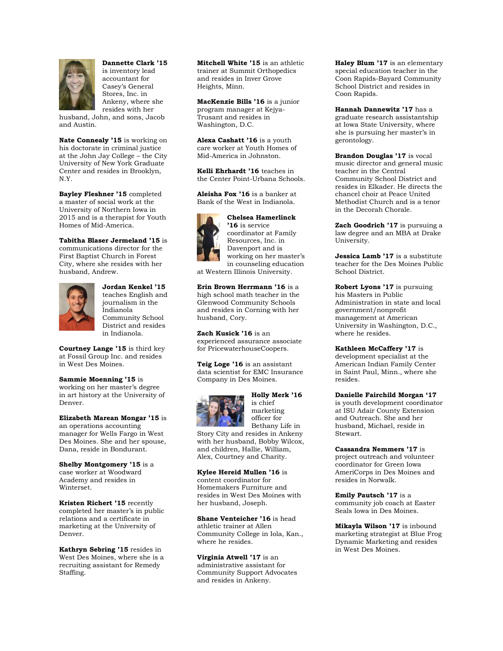

**Dannette Clark '15**  is inventory lead accountant for Casey's General Stores, Inc. in Ankeny, where she resides with her

husband, John, and sons, Jacob and Austin.

**Nate Connealy '15** is working on his doctorate in criminal justice at the John Jay College – the City University of New York Graduate Center and resides in Brooklyn, N.Y.

**Bayley Fleshner '15** completed a master of social work at the University of Northern Iowa in 2015 and is a therapist for Youth Homes of Mid-America.

**Tabitha Blaser Jermeland '15** is communications director for the First Baptist Church in Forest City, where she resides with her husband, Andrew.



**Jordan Kenkel '15**  teaches English and journalism in the Indianola Community School District and resides in Indianola.

**Courtney Lange '15** is third key at Fossil Group Inc. and resides in West Des Moines.

**Sammie Moenning '15** is working on her master's degree in art history at the University of Denver.

**Elizabeth Marean Mongar '15** is an operations accounting manager for Wells Fargo in West Des Moines. She and her spouse, Dana, reside in Bondurant.

**Shelby Montgomery '15** is a case worker at Woodward Academy and resides in Winterset.

**Kristen Richert '15** recently completed her master's in public relations and a certificate in marketing at the University of Denver.

**Kathryn Sebring '15** resides in West Des Moines, where she is a recruiting assistant for Remedy Staffing.

**Mitchell White '15** is an athletic trainer at Summit Orthopedics and resides in Inver Grove Heights, Minn.

**MacKenzie Bills '16** is a junior program manager at Kejya-Trusant and resides in Washington, D.C.

**Alexa Cashatt '16** is a youth care worker at Youth Homes of Mid-America in Johnston.

**Kelli Ehrhardt '16** teaches in the Center Point-Urbana Schools.

**Aleisha Fox '16** is a banker at Bank of the West in Indianola.

**Chelsea Hamerlinck '16** is service coordinator at Family Resources, Inc. in Davenport and is working on her master's in counseling education

at Western Illinois University.

**Erin Brown Herrmann '16** is a high school math teacher in the Glenwood Community Schools and resides in Corning with her husband, Cory.

**Zach Kusick '16** is an experienced assurance associate for PricewaterhouseCoopers.

**Teig Loge '16** is an assistant data scientist for EMC Insurance Company in Des Moines.



**Holly Merk '16**  is chief marketing officer for Bethany Life in

Story City and resides in Ankeny with her husband, Bobby Wilcox, and children, Hallie, William, Alex, Courtney and Charity.

**Kylee Hereid Mullen '16** is content coordinator for Homemakers Furniture and resides in West Des Moines with her husband, Joseph.

**Shane Venteicher '16** is head athletic trainer at Allen Community College in Iola, Kan., where he resides.

**Virginia Atwell '17** is an administrative assistant for Community Support Advocates and resides in Ankeny.

**Haley Blum '17** is an elementary special education teacher in the Coon Rapids-Bayard Community School District and resides in Coon Rapids.

**Hannah Dannewitz '17** has a graduate research assistantship at Iowa State University, where she is pursuing her master's in gerontology.

**Brandon Douglas '17** is vocal music director and general music teacher in the Central Community School District and resides in Elkader. He directs the chancel choir at Peace United Methodist Church and is a tenor in the Decorah Chorale.

**Zach Goodrich '17** is pursuing a law degree and an MBA at Drake University.

**Jessica Lamb '17** is a substitute teacher for the Des Moines Public School District.

**Robert Lyons '17** is pursuing his Masters in Public Administration in state and local government/nonprofit management at American University in Washington, D.C., where he resides.

**Kathleen McCaffery '17** is

development specialist at the American Indian Family Center in Saint Paul, Minn., where she resides.

**Danielle Fairchild Morgan '17** 

is youth development coordinator at ISU Adair County Extension and Outreach. She and her husband, Michael, reside in Stewart.

**Cassandra Nemmers '17** is project outreach and volunteer coordinator for Green Iowa AmeriCorps in Des Moines and resides in Norwalk.

**Emily Pautsch '17** is a community job coach at Easter Seals Iowa in Des Moines.

**Mikayla Wilson '17** is inbound marketing strategist at Blue Frog Dynamic Marketing and resides in West Des Moines.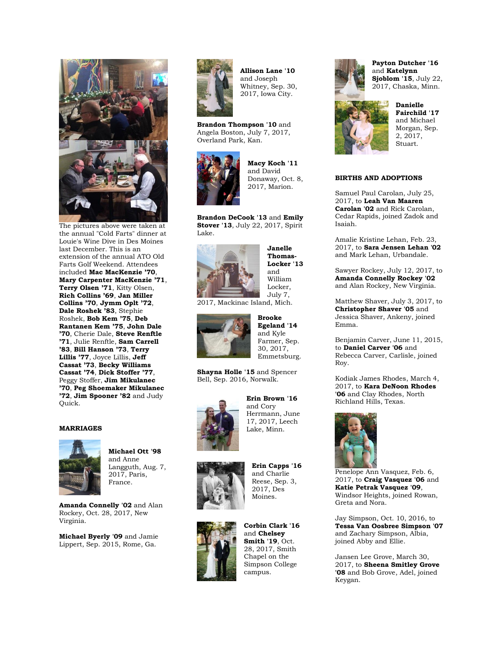

The pictures above were taken at the annual "Cold Farts" dinner at Louie's Wine Dive in Des Moines last December. This is an extension of the annual ATO Old Farts Golf Weekend. Attendees included **Mac MacKenzie '70**, **Mary Carpenter MacKenzie '71**, **Terry Olsen '71**, Kitty Olsen, **Rich Collins '69**, **Jan Miller Collins '70**, **Jymm Oplt '72**, **Dale Roshek '83**, Stephie Roshek, **Bob Kem '75**, **Deb Rantanen Kem '75**, **John Dale '70**, Cherie Dale, **Steve Renftle '71**, Julie Renftle, **Sam Carrell '83**, **Bill Hanson '73**, **Terry Lillis '77**, Joyce Lillis, **Jeff Cassat '73**, **Becky Williams Cassat '74**, **Dick Stoffer '77**, Peggy Stoffer, **Jim Mikulanec '70**, **Peg Shoemaker Mikulanec '72**, **Jim Spooner '82** and Judy Quick.

#### **MARRIAGES**



**Michael Ott '98** and Anne Langguth, Aug. 7, 2017, Paris, France.

**Amanda Connelly '02** and Alan Rockey, Oct. 28, 2017, New Virginia.

**Michael Byerly '09** and Jamie Lippert, Sep. 2015, Rome, Ga.



**Allison Lane '10** and Joseph Whitney, Sep. 30, 2017, Iowa City.

**Brandon Thompson '10** and Angela Boston, July 7, 2017, Overland Park, Kan.



**Macy Koch '11** and David Donaway, Oct. 8, 2017, Marion.

**Brandon DeCook '13** and **Emily Stover '13**, July 22, 2017, Spirit Lake.



**Janelle Thomas-Locker '13** and William Locker, July 7,

2017, Mackinac Island, Mich.



**Brooke Egeland '14** and Kyle Farmer, Sep. 30, 2017, Emmetsburg.

**Shayna Holle '15** and Spencer Bell, Sep. 2016, Norwalk.



**Erin Brown '16** and Cory Herrmann, June 17, 2017, Leech Lake, Minn.



**Erin Capps '16** and Charlie Reese, Sep. 3, 2017, Des Moines.



**Corbin Clark '16** and **Chelsey Smith '19**, Oct. 28, 2017, Smith Chapel on the Simpson College campus.



**Payton Dutcher '16** and **Katelynn Sjoblom '15**, July 22, 2017, Chaska, Minn.



**Danielle Fairchild '17** and Michael Morgan, Sep. 2, 2017, Stuart.

#### **BIRTHS AND ADOPTIONS**

Samuel Paul Carolan, July 25, 2017, to **Leah Van Maaren Carolan '02** and Rick Carolan, Cedar Rapids, joined Zadok and Isaiah.

Amalie Kristine Lehan, Feb. 23, 2017, to **Sara Jensen Lehan '02** and Mark Lehan, Urbandale.

Sawyer Rockey, July 12, 2017, to **Amanda Connelly Rockey '02** and Alan Rockey, New Virginia.

Matthew Shaver, July 3, 2017, to **Christopher Shaver '05** and Jessica Shaver, Ankeny, joined Emma.

Benjamin Carver, June 11, 2015, to **Daniel Carver '06** and Rebecca Carver, Carlisle, joined Roy.

Kodiak James Rhodes, March 4, 2017, to **Kara DeNoon Rhodes '06** and Clay Rhodes, North Richland Hills, Texas.



Penelope Ann Vasquez, Feb. 6, 2017, to **Craig Vasquez '06** and **Katie Petrak Vasquez '09**, Windsor Heights, joined Rowan, Greta and Nora.

Jay Simpson, Oct. 10, 2016, to **Tessa Van Oosbree Simpson '07** and Zachary Simpson, Albia, joined Abby and Ellie.

Jansen Lee Grove, March 30, 2017, to **Sheena Smitley Grove '08** and Bob Grove, Adel, joined Keygan.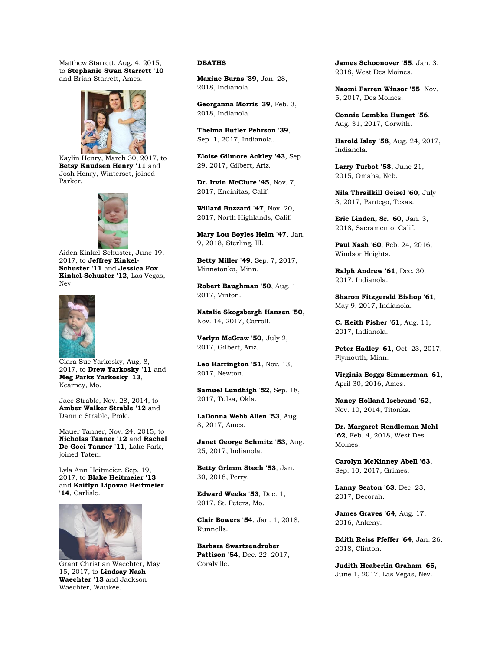Matthew Starrett, Aug. 4, 2015, to **Stephanie Swan Starrett '10** and Brian Starrett, Ames.



Kaylin Henry, March 30, 2017, to **Betsy Knudsen Henry '11** and Josh Henry, Winterset, joined Parker.



Aiden Kinkel-Schuster, June 19, 2017, to **Jeffrey Kinkel-Schuster '11** and **Jessica Fox Kinkel-Schuster '12**, Las Vegas, Nev.



Clara Sue Yarkosky, Aug. 8, 2017, to **Drew Yarkosky '11** and **Meg Parks Yarkosky '13**, Kearney, Mo.

Jace Strable, Nov. 28, 2014, to **Amber Walker Strable '12** and Dannie Strable, Prole.

Mauer Tanner, Nov. 24, 2015, to **Nicholas Tanner '12** and **Rachel De Goei Tanner '11**, Lake Park, joined Taten.

Lyla Ann Heitmeier, Sep. 19, 2017, to **Blake Heitmeier '13** and **Kaitlyn Lipovac Heitmeier '14**, Carlisle.



Grant Christian Waechter, May 15, 2017, to **Lindsay Nash Waechter '13** and Jackson Waechter, Waukee.

### **DEATHS**

**Maxine Burns '39**, Jan. 28, 2018, Indianola.

**Georganna Morris '39**, Feb. 3, 2018, Indianola.

**Thelma Butler Pehrson '39**, Sep. 1, 2017, Indianola.

**Eloise Gilmore Ackley '43**, Sep. 29, 2017, Gilbert, Ariz.

**Dr. Irvin McClure '45**, Nov. 7, 2017, Encinitas, Calif.

**Willard Buzzard '47**, Nov. 20, 2017, North Highlands, Calif.

**Mary Lou Boyles Helm '47**, Jan. 9, 2018, Sterling, Ill.

**Betty Miller '49**, Sep. 7, 2017, Minnetonka, Minn.

**Robert Baughman '50**, Aug. 1, 2017, Vinton.

**Natalie Skogsbergh Hansen '50**, Nov. 14, 2017, Carroll.

**Verlyn McGraw '50**, July 2, 2017, Gilbert, Ariz.

**Leo Harrington '51**, Nov. 13, 2017, Newton.

**Samuel Lundhigh '52**, Sep. 18, 2017, Tulsa, Okla.

**LaDonna Webb Allen '53**, Aug. 8, 2017, Ames.

**Janet George Schmitz '53**, Aug. 25, 2017, Indianola.

**Betty Grimm Stech '53**, Jan. 30, 2018, Perry.

**Edward Weeks '53**, Dec. 1, 2017, St. Peters, Mo.

**Clair Bowers '54**, Jan. 1, 2018, Runnells.

**Barbara Swartzendruber Pattison '54**, Dec. 22, 2017, Coralville.

**James Schoonover '55**, Jan. 3, 2018, West Des Moines.

**Naomi Farren Winsor '55**, Nov. 5, 2017, Des Moines.

**Connie Lembke Hunget '56**, Aug. 31, 2017, Corwith.

**Harold Isley '58**, Aug. 24, 2017, Indianola.

**Larry Turbot '58**, June 21, 2015, Omaha, Neb.

**Nila Thrailkill Geisel '60**, July 3, 2017, Pantego, Texas.

**Eric Linden, Sr. '60**, Jan. 3, 2018, Sacramento, Calif.

**Paul Nash '60**, Feb. 24, 2016, Windsor Heights.

**Ralph Andrew '61**, Dec. 30, 2017, Indianola.

**Sharon Fitzgerald Bishop '61**, May 9, 2017, Indianola.

**C. Keith Fisher '61**, Aug. 11, 2017, Indianola.

**Peter Hadley '61**, Oct. 23, 2017, Plymouth, Minn.

**Virginia Boggs Simmerman '61**, April 30, 2016, Ames.

**Nancy Holland Isebrand '62**, Nov. 10, 2014, Titonka.

**Dr. Margaret Rendleman Mehl '62**, Feb. 4, 2018, West Des Moines.

**Carolyn McKinney Abell '63**, Sep. 10, 2017, Grimes.

**Lanny Seaton '63**, Dec. 23, 2017, Decorah.

**James Graves '64**, Aug. 17, 2016, Ankeny.

**Edith Reiss Pfeffer '64**, Jan. 26, 2018, Clinton.

**Judith Heaberlin Graham '65,**  June 1, 2017, Las Vegas, Nev.